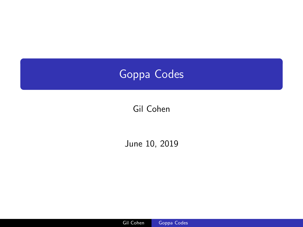<span id="page-0-0"></span>

# Gil Cohen

## June 10, 2019

Gil Cohen Goppa Codes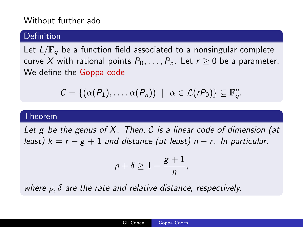## Without further ado

#### Definition

Let  $L/\mathbb{F}_q$  be a function field associated to a nonsingular complete curve X with rational points  $P_0, \ldots, P_n$ . Let  $r > 0$  be a parameter. We define the Goppa code

$$
C = \{(\alpha(P_1), \ldots, \alpha(P_n)) \mid \alpha \in \mathcal{L}(rP_0)\} \subseteq \mathbb{F}_q^n.
$$

#### Theorem

Let g be the genus of  $X$ . Then,  $C$  is a linear code of dimension (at least)  $k = r - g + 1$  and distance (at least)  $n - r$ . In particular,

$$
\rho+\delta\geq 1-\frac{g+1}{n},
$$

where  $\rho$ ,  $\delta$  are the rate and relative distance, respectively.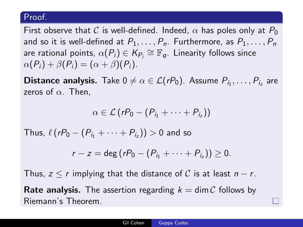### Proof.

First observe that C is well-defined. Indeed,  $\alpha$  has poles only at  $P_0$ and so it is well-defined at  $P_1, \ldots, P_n$ . Furthermore, as  $P_1, \ldots, P_n$ are rational points,  $\alpha(P_i)\in\mathcal{K}_{P_i}\cong\mathbb{F}_q.$  Linearity follows since  $\alpha(P_i) + \beta(P_i) = (\alpha + \beta)(P_i).$ 

**Distance analysis.** Take  $0 \neq \alpha \in \mathcal{L}(rP_0)$ . Assume  $P_{i_1}, \ldots, P_{i_z}$  are zeros of  $\alpha$ . Then,

$$
\alpha\in\mathcal{L}(rP_0-(P_{i_1}+\cdots+P_{i_z}))
$$

Thus,  $\ell(rP_0-(P_{i_1}+\cdots+P_{i_z}))>0$  and so

$$
r-z=\deg (rP_0-(P_{i_1}+\cdots+P_{i_z}))\geq 0.
$$

Thus,  $z \le r$  implying that the distance of C is at least  $n - r$ . **Rate analysis.** The assertion regarding  $k = \dim C$  follows by

Riemann's Theorem.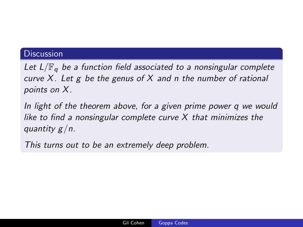## Discussion

Let  $L/\mathbb{F}_q$  be a function field associated to a nonsingular complete curve  $X$ . Let g be the genus of  $X$  and n the number of rational points on X.

In light of the theorem above, for a given prime power q we would like to find a nonsingular complete curve  $X$  that minimizes the quantity  $g/n$ .

This turns out to be an extremely deep problem.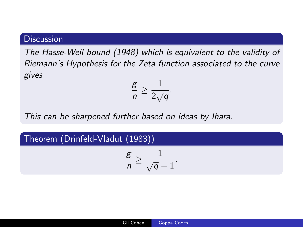### **Discussion**

The Hasse-Weil bound (1948) which is equivalent to the validity of Riemann's Hypothesis for the Zeta function associated to the curve gives

$$
\frac{\mathsf{g}}{n} \geq \frac{1}{2\sqrt{q}}.
$$

This can be sharpened further based on ideas by Ihara.

### Theorem (Drinfeld-Vladut (1983))

$$
\frac{\mathsf{g}}{n} \geq \frac{1}{\sqrt{\mathsf{q}}-1}.
$$